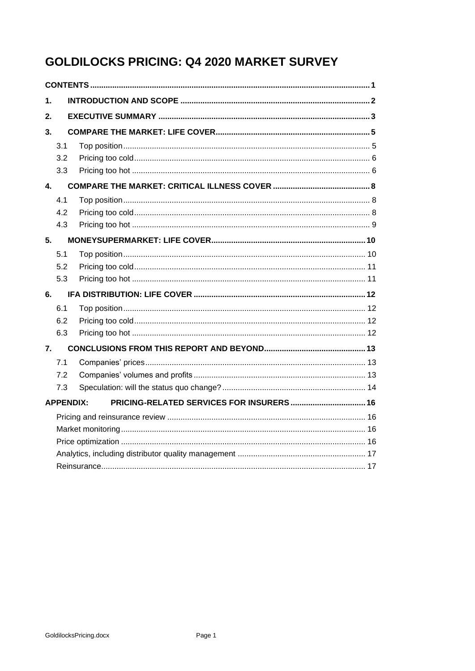# **GOLDILOCKS PRICING: Q4 2020 MARKET SURVEY**

<span id="page-0-0"></span>

| 1. |                  |  |  |  |  |  |  |
|----|------------------|--|--|--|--|--|--|
| 2. |                  |  |  |  |  |  |  |
| 3. |                  |  |  |  |  |  |  |
|    | 3.1              |  |  |  |  |  |  |
|    | 3.2              |  |  |  |  |  |  |
|    | 3.3              |  |  |  |  |  |  |
| 4. |                  |  |  |  |  |  |  |
|    | 4.1              |  |  |  |  |  |  |
|    | 4.2              |  |  |  |  |  |  |
|    | 4.3              |  |  |  |  |  |  |
| 5. |                  |  |  |  |  |  |  |
|    | 5.1              |  |  |  |  |  |  |
|    | 5.2              |  |  |  |  |  |  |
|    | 5.3              |  |  |  |  |  |  |
| 6. |                  |  |  |  |  |  |  |
|    | 6.1              |  |  |  |  |  |  |
|    | 6.2              |  |  |  |  |  |  |
|    | 6.3              |  |  |  |  |  |  |
| 7. |                  |  |  |  |  |  |  |
|    | 7.1              |  |  |  |  |  |  |
|    | 7.2              |  |  |  |  |  |  |
|    | 7.3              |  |  |  |  |  |  |
|    | <b>APPENDIX:</b> |  |  |  |  |  |  |
|    |                  |  |  |  |  |  |  |
|    |                  |  |  |  |  |  |  |
|    |                  |  |  |  |  |  |  |
|    |                  |  |  |  |  |  |  |
|    |                  |  |  |  |  |  |  |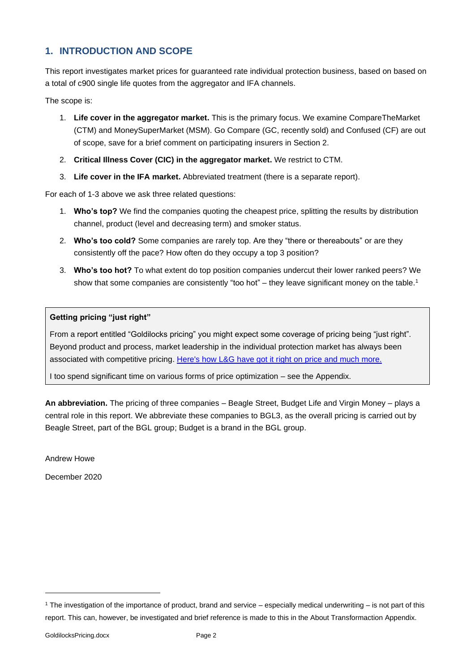# <span id="page-1-0"></span>**1. INTRODUCTION AND SCOPE**

This report investigates market prices for guaranteed rate individual protection business, based on based on a total of c900 single life quotes from the aggregator and IFA channels.

The scope is:

- 1. **Life cover in the aggregator market.** This is the primary focus. We examine CompareTheMarket (CTM) and MoneySuperMarket (MSM). Go Compare (GC, recently sold) and Confused (CF) are out of scope, save for a brief comment on participating insurers in Section 2.
- 2. **Critical Illness Cover (CIC) in the aggregator market.** We restrict to CTM.
- 3. **Life cover in the IFA market.** Abbreviated treatment (there is a separate report).

For each of 1-3 above we ask three related questions:

- 1. **Who's top?** We find the companies quoting the cheapest price, splitting the results by distribution channel, product (level and decreasing term) and smoker status.
- 2. **Who's too cold?** Some companies are rarely top. Are they "there or thereabouts" or are they consistently off the pace? How often do they occupy a top 3 position?
- 3. **Who's too hot?** To what extent do top position companies undercut their lower ranked peers? We show that some companies are consistently "too hot" – they leave significant money on the table.<sup>1</sup>

#### **Getting pricing "just right"**

From a report entitled "Goldilocks pricing" you might expect some coverage of pricing being "just right". Beyond product and process, market leadership in the individual protection market has always been associated with competitive pricing. [Here's how L&G have got it right on price and much more.](https://www.youtube.com/watch?v=vnzwk1eYHIg)

I too spend significant time on various forms of price optimization – see the Appendix.

**An abbreviation.** The pricing of three companies – Beagle Street, Budget Life and Virgin Money – plays a central role in this report. We abbreviate these companies to BGL3, as the overall pricing is carried out by Beagle Street, part of the BGL group; Budget is a brand in the BGL group.

Andrew Howe

December 2020

 $1$  The investigation of the importance of product, brand and service – especially medical underwriting – is not part of this report. This can, however, be investigated and brief reference is made to this in the About Transformaction Appendix.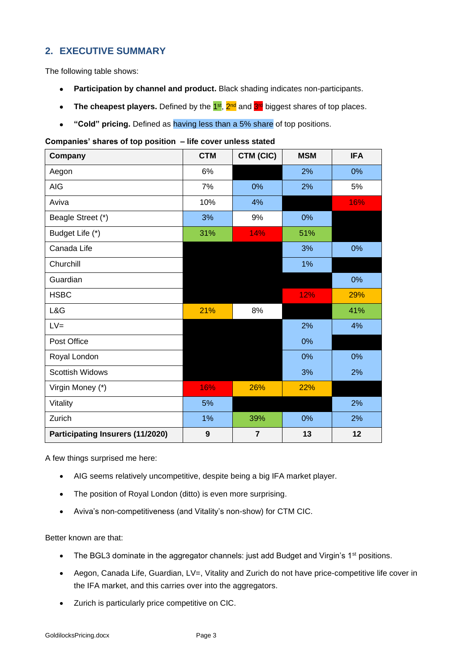# <span id="page-2-0"></span>**2. EXECUTIVE SUMMARY**

The following table shows:

- **Participation by channel and product.** Black shading indicates non-participants.
- The cheapest players. Defined by the 1<sup>st</sup>, 2<sup>nd</sup> and 3<sup>rd</sup> biggest shares of top places.
- **"Cold" pricing.** Defined as having less than a 5% share of top positions.

#### **Companies' shares of top position – life cover unless stated**

| Company                          | <b>CTM</b>       | CTM (CIC)      | <b>MSM</b> | <b>IFA</b> |
|----------------------------------|------------------|----------------|------------|------------|
| Aegon                            | 6%               |                | 2%         | 0%         |
| <b>AIG</b>                       | 7%               | 0%             | 2%         | 5%         |
| Aviva                            | 10%              | 4%             |            | 16%        |
| Beagle Street (*)                | 3%               | 9%             | 0%         |            |
| Budget Life (*)                  | 31%              | 14%            | 51%        |            |
| Canada Life                      |                  |                | 3%         | $0\%$      |
| Churchill                        |                  |                | 1%         |            |
| Guardian                         |                  |                |            | 0%         |
| <b>HSBC</b>                      |                  |                | 12%        | 29%        |
| L&G                              | 21%              | 8%             |            | 41%        |
| $LV =$                           |                  |                | 2%         | 4%         |
| Post Office                      |                  |                | 0%         |            |
| Royal London                     |                  |                | 0%         | 0%         |
| <b>Scottish Widows</b>           |                  |                | 3%         | 2%         |
| Virgin Money (*)                 | 16%              | 26%            | 22%        |            |
| Vitality                         | 5%               |                |            | 2%         |
| Zurich                           | 1%               | 39%            | 0%         | 2%         |
| Participating Insurers (11/2020) | $\boldsymbol{9}$ | $\overline{7}$ | 13         | 12         |

A few things surprised me here:

- AIG seems relatively uncompetitive, despite being a big IFA market player.
- The position of Royal London (ditto) is even more surprising.
- Aviva's non-competitiveness (and Vitality's non-show) for CTM CIC.

#### Better known are that:

- The BGL3 dominate in the aggregator channels: just add Budget and Virgin's 1<sup>st</sup> positions.
- Aegon, Canada Life, Guardian, LV=, Vitality and Zurich do not have price-competitive life cover in the IFA market, and this carries over into the aggregators.
- Zurich is particularly price competitive on CIC.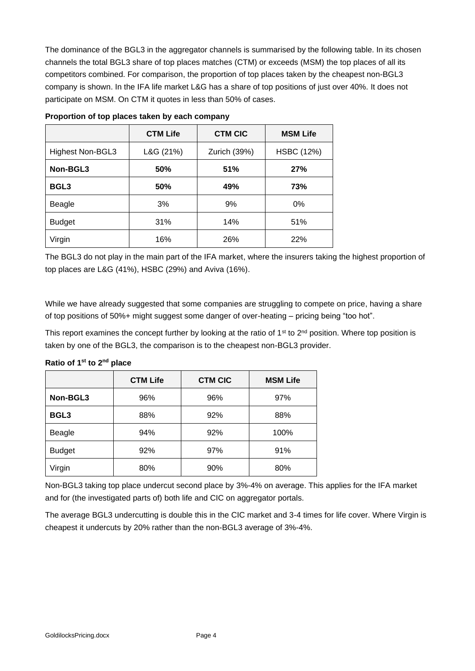The dominance of the BGL3 in the aggregator channels is summarised by the following table. In its chosen channels the total BGL3 share of top places matches (CTM) or exceeds (MSM) the top places of all its competitors combined. For comparison, the proportion of top places taken by the cheapest non-BGL3 company is shown. In the IFA life market L&G has a share of top positions of just over 40%. It does not participate on MSM. On CTM it quotes in less than 50% of cases.

|                  | <b>CTM Life</b> | <b>CTM CIC</b> | <b>MSM Life</b>   |
|------------------|-----------------|----------------|-------------------|
| Highest Non-BGL3 | L&G (21%)       | Zurich (39%)   | <b>HSBC (12%)</b> |
| Non-BGL3         | 50%             | 51%            | 27%               |
| BGL <sub>3</sub> | 50%             | 49%            | 73%               |
| Beagle           | 3%              | 9%             | 0%                |
| <b>Budget</b>    | 31%             | 14%            | 51%               |
| Virgin           | 16%             | 26%            | 22%               |

| Proportion of top places taken by each company |  |  |
|------------------------------------------------|--|--|
|                                                |  |  |

The BGL3 do not play in the main part of the IFA market, where the insurers taking the highest proportion of top places are L&G (41%), HSBC (29%) and Aviva (16%).

While we have already suggested that some companies are struggling to compete on price, having a share of top positions of 50%+ might suggest some danger of over-heating – pricing being "too hot".

This report examines the concept further by looking at the ratio of  $1<sup>st</sup>$  to  $2<sup>nd</sup>$  position. Where top position is taken by one of the BGL3, the comparison is to the cheapest non-BGL3 provider.

| Ratio of 1 <sup>st</sup> to 2 <sup>nd</sup> place |  |  |  |
|---------------------------------------------------|--|--|--|
|---------------------------------------------------|--|--|--|

|               | <b>CTM Life</b> | <b>CTM CIC</b> | <b>MSM Life</b> |
|---------------|-----------------|----------------|-----------------|
| Non-BGL3      | 96%             | 96%            | 97%             |
| <b>BGL3</b>   | 88%             | 92%            | 88%             |
| Beagle        | 94%             | 92%            | 100%            |
| <b>Budget</b> | 92%             | 97%            | 91%             |
| Virgin        | 80%             | 90%            | 80%             |

Non-BGL3 taking top place undercut second place by 3%-4% on average. This applies for the IFA market and for (the investigated parts of) both life and CIC on aggregator portals.

The average BGL3 undercutting is double this in the CIC market and 3-4 times for life cover. Where Virgin is cheapest it undercuts by 20% rather than the non-BGL3 average of 3%-4%.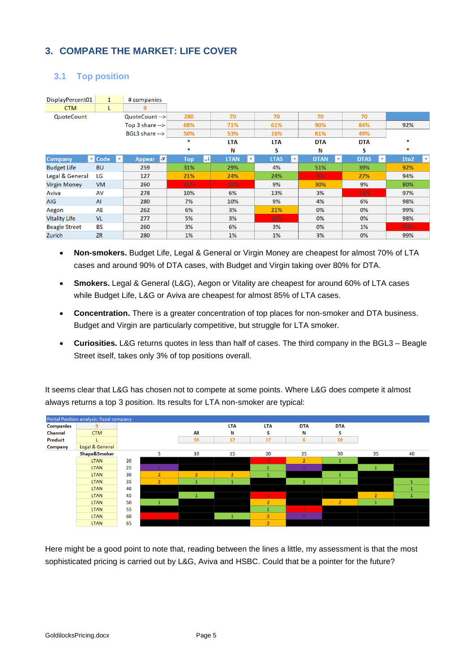# <span id="page-4-0"></span>**3. COMPARE THE MARKET: LIFE COVER**

# <span id="page-4-1"></span>**3.1 Top position**

| DisplayPercent01     | $\mathbf{1}$                        | # companies                   |                            |                                     |                                   |                             |                             |                      |
|----------------------|-------------------------------------|-------------------------------|----------------------------|-------------------------------------|-----------------------------------|-----------------------------|-----------------------------|----------------------|
| <b>CTM</b>           | L                                   | 9                             |                            |                                     |                                   |                             |                             |                      |
| QuoteCount           |                                     | QuoteCount -->                | 280                        | 70                                  | 70                                | 70                          | 70                          |                      |
|                      |                                     | Top $3$ share $\rightarrow$   | 68%                        | 71%                                 | 61%                               | 90%                         | 84%                         | 92%                  |
|                      |                                     | BGL3 share -->                | 50%                        | 53%                                 | 16%                               | 81%                         | 49%                         |                      |
|                      |                                     |                               | ∗                          | <b>LTA</b>                          | <b>LTA</b>                        | <b>DTA</b>                  | <b>DTA</b>                  | *                    |
|                      |                                     |                               | ∗                          | N                                   | s                                 | N                           | s                           | *                    |
| <b>Company</b>       | $\blacksquare$ Code<br>$\mathbf{v}$ | $\mathbf{r}$<br><b>Appear</b> | $\downarrow$<br><b>Top</b> | <b>LTAN</b><br>$\blacktriangledown$ | <b>LTAS</b><br>$\bar{\mathbf{v}}$ | <b>DTAN</b><br>$\mathbf{v}$ | <b>DTAS</b><br>$\mathbf{v}$ | 1to2<br>$\mathbf{r}$ |
| <b>Budget Life</b>   | <b>BU</b>                           | 259                           | 31%                        | 29%                                 | 4%                                | 51%                         | 39%                         | 92%                  |
| Legal & General      | LG                                  | 127                           | 21%                        | 24%                                 | 24%                               | 9%                          | 27%                         | 94%                  |
| <b>Virgin Money</b>  | <b>VM</b>                           | 260                           | 16%                        | 19%                                 | 9%                                | 30%                         | 9%                          | 80%                  |
| Aviva                | AV                                  | 278                           | 10%                        | 6%                                  | 13%                               | 3%                          | 19%                         | 97%                  |
| <b>AIG</b>           | <b>AI</b>                           | 280                           | 7%                         | 10%                                 | 9%                                | 4%                          | 6%                          | 98%                  |
| Aegon                | <b>AE</b>                           | 262                           | 6%                         | 3%                                  | 21%                               | 0%                          | 0%                          | 99%                  |
| <b>Vitality Life</b> | <b>VL</b>                           | 277                           | 5%                         | 3%                                  | 16%                               | 0%                          | 0%                          | 98%                  |
| <b>Beagle Street</b> | <b>BS</b>                           | 260                           | 3%                         | 6%                                  | 3%                                | 0%                          | 1%                          | 94%                  |
| Zurich               | <b>ZR</b>                           | 280                           | 1%                         | 1%                                  | 1%                                | 3%                          | 0%                          | 99%                  |

- **Non-smokers.** Budget Life, Legal & General or Virgin Money are cheapest for almost 70% of LTA cases and around 90% of DTA cases, with Budget and Virgin taking over 80% for DTA.
- **Smokers.** Legal & General (L&G), Aegon or Vitality are cheapest for around 60% of LTA cases while Budget Life, L&G or Aviva are cheapest for almost 85% of LTA cases.
- **Concentration.** There is a greater concentration of top places for non-smoker and DTA business. Budget and Virgin are particularly competitive, but struggle for LTA smoker.
- **Curiosities.** L&G returns quotes in less than half of cases. The third company in the BGL3 Beagle Street itself, takes only 3% of top positions overall.

It seems clear that L&G has chosen not to compete at some points. Where L&G does compete it almost always returns a top 3 position. Its results for LTA non-smoker are typical:



Here might be a good point to note that, reading between the lines a little, my assessment is that the most sophisticated pricing is carried out by L&G, Aviva and HSBC. Could that be a pointer for the future?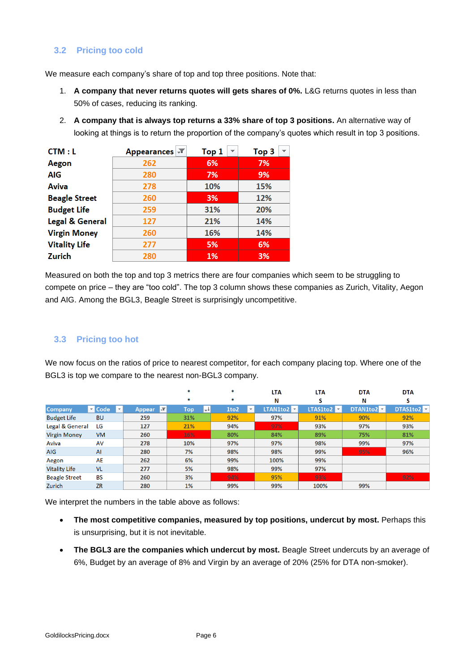### <span id="page-5-0"></span>**3.2 Pricing too cold**

We measure each company's share of top and top three positions. Note that:

- 1. **A company that never returns quotes will gets shares of 0%.** L&G returns quotes in less than 50% of cases, reducing its ranking.
- 2. **A company that is always top returns a 33% share of top 3 positions.** An alternative way of looking at things is to return the proportion of the company's quotes which result in top 3 positions.

| CTM : L                    | Appearances <b>T</b> | Top 1 | Top 3<br>$\overline{\phantom{a}}$ |  |
|----------------------------|----------------------|-------|-----------------------------------|--|
| Aegon                      | 262                  | 6%    | 7%                                |  |
| AIG                        | 280                  | 7%    | 9%                                |  |
| Aviva                      | 278                  | 10%   | 15%                               |  |
| <b>Beagle Street</b>       | 260                  | 3%    | 12%                               |  |
| <b>Budget Life</b>         | 259                  | 31%   | 20%                               |  |
| <b>Legal &amp; General</b> | 127                  | 21%   | 14%                               |  |
| <b>Virgin Money</b>        | 260                  | 16%   | 14%                               |  |
| <b>Vitality Life</b>       | 277                  | 5%    | 6%                                |  |
| Zurich                     | 280                  | 1%    | 3%                                |  |

Measured on both the top and top 3 metrics there are four companies which seem to be struggling to compete on price – they are "too cold". The top 3 column shows these companies as Zurich, Vitality, Aegon and AIG. Among the BGL3, Beagle Street is surprisingly uncompetitive.

### <span id="page-5-1"></span>**3.3 Pricing too hot**

We now focus on the ratios of price to nearest competitor, for each company placing top. Where one of the BGL3 is top we compare to the nearest non-BGL3 company.

|                      |                                                 |                                 | *        | ×                    | <b>LTA</b>                      | <b>LTA</b>                     | <b>DTA</b> | <b>DTA</b> |
|----------------------|-------------------------------------------------|---------------------------------|----------|----------------------|---------------------------------|--------------------------------|------------|------------|
|                      |                                                 |                                 | *        | *                    | N                               | S                              | N          | S          |
| <b>Company</b>       | $\blacksquare$ Code<br>$\overline{\phantom{a}}$ | $\overline{X}$<br><b>Appear</b> | W<br>Top | 1to2<br>$\mathbf{v}$ | <b>LTAN1to2</b> $\triangledown$ | <b>LTAS1to2</b> $\overline{z}$ | DTAN1to2   | DTAS1to2   |
| <b>Budget Life</b>   | <b>BU</b>                                       | 259                             | 31%      | 92%                  | 97%                             | 91%                            | 90%        | 92%        |
| Legal & General      | LG                                              | 127                             | 21%      | 94%                  | 97%                             | 93%                            | 97%        | 93%        |
| <b>Virgin Money</b>  | <b>VM</b>                                       | 260                             | 16%      | 80%                  | 84%                             | 89%                            | 75%        | 81%        |
| Aviva                | AV                                              | 278                             | 10%      | 97%                  | 97%                             | 98%                            | 99%        | 97%        |
| AIG                  | AI                                              | 280                             | 7%       | 98%                  | 98%                             | 99%                            | 95%        | 96%        |
| Aegon                | AE                                              | 262                             | 6%       | 99%                  | 100%                            | 99%                            |            |            |
| <b>Vitality Life</b> | <b>VL</b>                                       | 277                             | 5%       | 98%                  | 99%                             | 97%                            |            |            |
| <b>Beagle Street</b> | <b>BS</b>                                       | 260                             | 3%       | 94%                  | 95%                             | 93%                            |            | 92%        |
| Zurich               | <b>ZR</b>                                       | 280                             | 1%       | 99%                  | 99%                             | 100%                           | 99%        |            |

We interpret the numbers in the table above as follows:

- **The most competitive companies, measured by top positions, undercut by most.** Perhaps this is unsurprising, but it is not inevitable.
- **The BGL3 are the companies which undercut by most.** Beagle Street undercuts by an average of 6%, Budget by an average of 8% and Virgin by an average of 20% (25% for DTA non-smoker).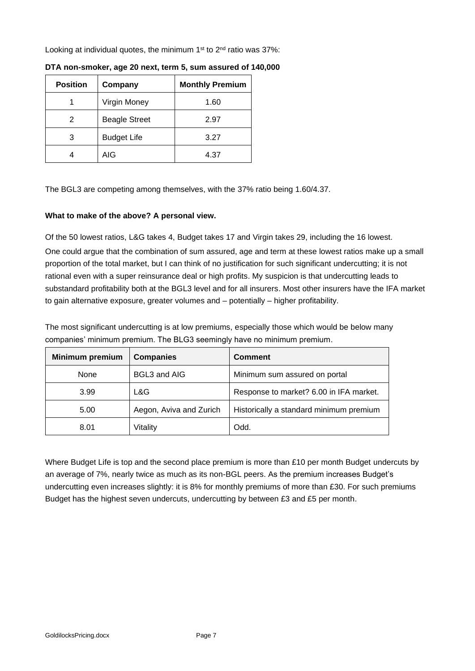Looking at individual quotes, the minimum  $1<sup>st</sup>$  to  $2<sup>nd</sup>$  ratio was 37%:

| <b>Position</b> | Company              | <b>Monthly Premium</b> |
|-----------------|----------------------|------------------------|
|                 | Virgin Money         | 1.60                   |
| 2               | <b>Beagle Street</b> | 2.97                   |
| 3               | <b>Budget Life</b>   | 3.27                   |
|                 | AIG                  | 4.37                   |

**DTA non-smoker, age 20 next, term 5, sum assured of 140,000**

The BGL3 are competing among themselves, with the 37% ratio being 1.60/4.37.

#### **What to make of the above? A personal view.**

Of the 50 lowest ratios, L&G takes 4, Budget takes 17 and Virgin takes 29, including the 16 lowest. One could argue that the combination of sum assured, age and term at these lowest ratios make up a small proportion of the total market, but I can think of no justification for such significant undercutting; it is not rational even with a super reinsurance deal or high profits. My suspicion is that undercutting leads to substandard profitability both at the BGL3 level and for all insurers. Most other insurers have the IFA market to gain alternative exposure, greater volumes and – potentially – higher profitability.

The most significant undercutting is at low premiums, especially those which would be below many companies' minimum premium. The BLG3 seemingly have no minimum premium.

| <b>Minimum premium</b> | <b>Companies</b>        | <b>Comment</b>                          |
|------------------------|-------------------------|-----------------------------------------|
| None                   | BGL3 and AIG            | Minimum sum assured on portal           |
| 3.99                   | L&G                     | Response to market? 6.00 in IFA market. |
| 5.00                   | Aegon, Aviva and Zurich | Historically a standard minimum premium |
| 8.01                   | Vitality                | Odd.                                    |

Where Budget Life is top and the second place premium is more than £10 per month Budget undercuts by an average of 7%, nearly twice as much as its non-BGL peers. As the premium increases Budget's undercutting even increases slightly: it is 8% for monthly premiums of more than £30. For such premiums Budget has the highest seven undercuts, undercutting by between £3 and £5 per month.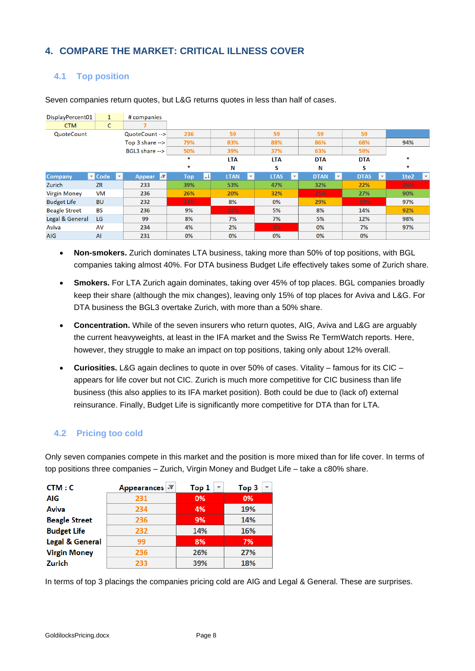# <span id="page-7-0"></span>**4. COMPARE THE MARKET: CRITICAL ILLNESS COVER**

# <span id="page-7-1"></span>**4.1 Top position**

| DisplayPercent01     | $\mathbf{1}$                        | # companies                     |                            |                                        |                                        |                                         |                                        |                                  |
|----------------------|-------------------------------------|---------------------------------|----------------------------|----------------------------------------|----------------------------------------|-----------------------------------------|----------------------------------------|----------------------------------|
| <b>CTM</b>           | C                                   |                                 |                            |                                        |                                        |                                         |                                        |                                  |
| QuoteCount           |                                     | QuoteCount -->                  | 236                        | 59                                     | 59                                     | 59                                      | 59                                     |                                  |
|                      |                                     | Top 3 share $\rightarrow$       | 79%                        | 83%                                    | 88%                                    | 86%                                     | 68%                                    | 94%                              |
|                      |                                     | BGL3 share -->                  | 50%                        | 39%                                    | 37%                                    | 63%                                     | 59%                                    |                                  |
|                      |                                     |                                 | $\ast$                     | <b>LTA</b>                             | <b>LTA</b>                             | <b>DTA</b>                              | <b>DTA</b>                             | 宋                                |
|                      |                                     |                                 | *                          | Ν                                      | s                                      | Ν                                       | s                                      | *                                |
| <b>Company</b>       | $\blacksquare$ Code<br>$\mathbf{v}$ | $\overline{X}$<br><b>Appear</b> | $\downarrow$<br><b>Top</b> | <b>LTAN</b><br>$\overline{\mathbf{v}}$ | <b>LTAS</b><br>$\overline{\mathbf{v}}$ | <b>DTAN</b><br>$\overline{\phantom{0}}$ | <b>DTAS</b><br>$\overline{\mathbf{v}}$ | 1to <sub>2</sub><br>$\mathbf{v}$ |
| Zurich               | <b>ZR</b>                           | 233                             | 39%                        | 53%                                    | 47%                                    | 32%                                     | 22%                                    | 96%                              |
| <b>Virgin Money</b>  | <b>VM</b>                           | 236                             | 26%                        | 20%                                    | 32%                                    | 25%                                     | 27%                                    | 90%                              |
| <b>Budget Life</b>   | <b>BU</b>                           | 232                             | 14%                        | 8%                                     | 0%                                     | 29%                                     | 19%                                    | 97%                              |
| <b>Beagle Street</b> | <b>BS</b>                           | 236                             | 9%                         | 10%                                    | 5%                                     | 8%                                      | 14%                                    | 92%                              |
| Legal & General      | LG                                  | 99                              | 8%                         | 7%                                     | 7%                                     | 5%                                      | 12%                                    | 98%                              |
| Aviva                | AV                                  | 234                             | 4%                         | 2%                                     | 8%                                     | $0\%$                                   | 7%                                     | 97%                              |
| <b>AIG</b>           | AI                                  | 231                             | 0%                         | 0%                                     | 0%                                     | 0%                                      | 0%                                     |                                  |

Seven companies return quotes, but L&G returns quotes in less than half of cases.

- **Non-smokers.** Zurich dominates LTA business, taking more than 50% of top positions, with BGL companies taking almost 40%. For DTA business Budget Life effectively takes some of Zurich share.
- **Smokers.** For LTA Zurich again dominates, taking over 45% of top places. BGL companies broadly keep their share (although the mix changes), leaving only 15% of top places for Aviva and L&G. For DTA business the BGL3 overtake Zurich, with more than a 50% share.
- **Concentration.** While of the seven insurers who return quotes, AIG, Aviva and L&G are arguably the current heavyweights, at least in the IFA market and the Swiss Re TermWatch reports. Here, however, they struggle to make an impact on top positions, taking only about 12% overall.
- **Curiosities.** L&G again declines to quote in over 50% of cases. Vitality famous for its CIC appears for life cover but not CIC. Zurich is much more competitive for CIC business than life business (this also applies to its IFA market position). Both could be due to (lack of) external reinsurance. Finally, Budget Life is significantly more competitive for DTA than for LTA.

## <span id="page-7-2"></span>**4.2 Pricing too cold**

Only seven companies compete in this market and the position is more mixed than for life cover. In terms of top positions three companies – Zurich, Virgin Money and Budget Life – take a c80% share.

| CTM: C                     | Appearances | Top 1<br>$\overline{\phantom{a}}$ | Top 3<br>▼ |
|----------------------------|-------------|-----------------------------------|------------|
| AIG                        | 231         | 0%                                | 0%         |
| Aviva                      | 234         | 4%                                | 19%        |
| <b>Beagle Street</b>       | 236         | 9%                                | 14%        |
| <b>Budget Life</b>         | 232         | 14%                               | 16%        |
| <b>Legal &amp; General</b> | 99          | 8%                                | 7%         |
| <b>Virgin Money</b>        | 236         | 26%                               | 27%        |
| Zurich                     | 233         | 39%                               | 18%        |

In terms of top 3 placings the companies pricing cold are AIG and Legal & General. These are surprises.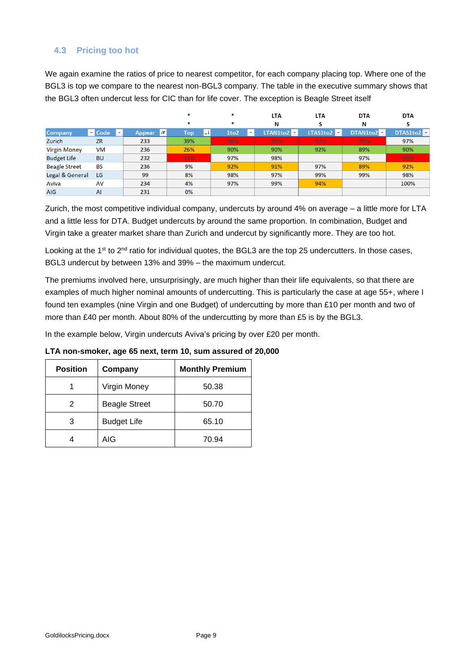## <span id="page-8-0"></span>**4.3 Pricing too hot**

We again examine the ratios of price to nearest competitor, for each company placing top. Where one of the BGL3 is top we compare to the nearest non-BGL3 company. The table in the executive summary shows that the BGL3 often undercut less for CIC than for life cover. The exception is Beagle Street itself

|                      |                                                 |                                 | *          | ×                                | <b>LTA</b>        | LTA                   | <b>DTA</b> | <b>DTA</b> |
|----------------------|-------------------------------------------------|---------------------------------|------------|----------------------------------|-------------------|-----------------------|------------|------------|
|                      |                                                 |                                 | *          | ×                                | N                 |                       | Ν          |            |
| <b>Company</b>       | $\blacksquare$ Code<br>$\overline{\phantom{a}}$ | $\overline{X}$<br><b>Appear</b> | Top<br>∣≁∤ | 1to <sub>2</sub><br>$\mathbf{v}$ | LTAN1to2 <b>V</b> | LTAS1to2 <sup>V</sup> | DTAN1to2   | DTAS1to2   |
| Zurich               | <b>ZR</b>                                       | 233                             | 39%        | 96%                              | 95%               | 97%                   | 95%        | 97%        |
| <b>Virgin Money</b>  | <b>VM</b>                                       | 236                             | 26%        | 90%                              | 90%               | 92%                   | 89%        | 90%        |
| <b>Budget Life</b>   | <b>BU</b>                                       | 232                             | 14%        | 97%                              | 98%               |                       | 97%        | 96%        |
| <b>Beagle Street</b> | <b>BS</b>                                       | 236                             | 9%         | 92%                              | 91%               | 97%                   | 89%        | 92%        |
| Legal & General      | LG                                              | 99                              | 8%         | 98%                              | 97%               | 99%                   | 99%        | 98%        |
| Aviva                | AV                                              | 234                             | 4%         | 97%                              | 99%               | 94%                   |            | 100%       |
| <b>AIG</b>           | AI                                              | 231                             | 0%         |                                  |                   |                       |            |            |

Zurich, the most competitive individual company, undercuts by around 4% on average – a little more for LTA and a little less for DTA. Budget undercuts by around the same proportion. In combination, Budget and Virgin take a greater market share than Zurich and undercut by significantly more. They are too hot.

Looking at the 1<sup>st</sup> to 2<sup>nd</sup> ratio for individual quotes, the BGL3 are the top 25 undercutters. In those cases, BGL3 undercut by between 13% and 39% – the maximum undercut.

The premiums involved here, unsurprisingly, are much higher than their life equivalents, so that there are examples of much higher nominal amounts of undercutting. This is particularly the case at age 55+, where I found ten examples (nine Virgin and one Budget) of undercutting by more than £10 per month and two of more than £40 per month. About 80% of the undercutting by more than £5 is by the BGL3.

In the example below, Virgin undercuts Aviva's pricing by over £20 per month.

| <b>Position</b> | Company              | <b>Monthly Premium</b> |
|-----------------|----------------------|------------------------|
|                 | Virgin Money         | 50.38                  |
| 2               | <b>Beagle Street</b> | 50.70                  |
| 3               | <b>Budget Life</b>   | 65.10                  |
|                 | AIG                  | 70.94                  |

**LTA non-smoker, age 65 next, term 10, sum assured of 20,000**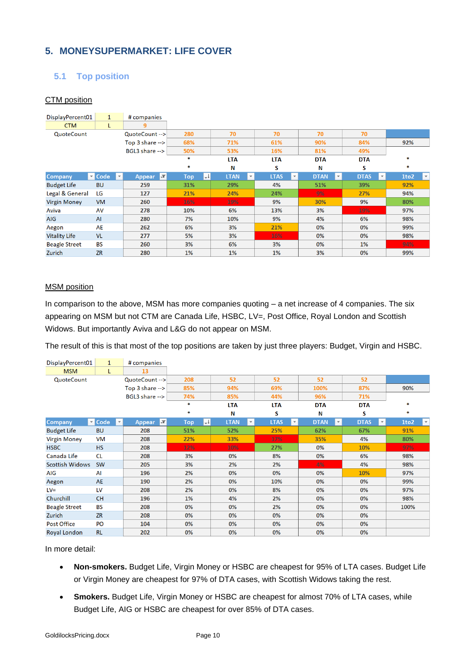# <span id="page-9-0"></span>**5. MONEYSUPERMARKET: LIFE COVER**

# <span id="page-9-1"></span>**5.1 Top position**

#### CTM position

| DisplayPercent01     | $\mathbf{1}$         |                         | # companies                 |            |    |             |                          |             |                         |                                         |             |                         |                                              |
|----------------------|----------------------|-------------------------|-----------------------------|------------|----|-------------|--------------------------|-------------|-------------------------|-----------------------------------------|-------------|-------------------------|----------------------------------------------|
| <b>CTM</b>           | L                    |                         | 9                           |            |    |             |                          |             |                         |                                         |             |                         |                                              |
| QuoteCount           |                      |                         | QuoteCount -->              | 280        |    | 70          |                          | 70          |                         | 70                                      | 70          |                         |                                              |
|                      |                      |                         | Top $3$ share $\rightarrow$ | 68%        |    | 71%         |                          | 61%         |                         | 90%                                     | 84%         |                         | 92%                                          |
|                      |                      |                         | BGL3 share $\rightarrow$    | 50%        |    | 53%         |                          | 16%         |                         | 81%                                     | 49%         |                         |                                              |
|                      |                      |                         |                             | *          |    | <b>LTA</b>  |                          | <b>LTA</b>  |                         | <b>DTA</b>                              | <b>DTA</b>  |                         | 宋                                            |
|                      |                      |                         |                             | *          |    | Ν           |                          | s           |                         | Ν                                       | s           |                         | ×                                            |
| <b>Company</b>       | $\triangledown$ Code | $\overline{\mathbf{v}}$ | ₹<br><b>Appear</b>          | <b>Top</b> | IJ | <b>LTAN</b> | $\overline{\phantom{a}}$ | <b>LTAS</b> | $\overline{\mathbf{v}}$ | <b>DTAN</b><br>$\overline{\phantom{a}}$ | <b>DTAS</b> | $\overline{\mathbf{v}}$ | 1to <sub>2</sub><br>$\overline{\phantom{a}}$ |
| <b>Budget Life</b>   | <b>BU</b>            |                         | 259                         | 31%        |    | 29%         |                          | 4%          |                         | 51%                                     | 39%         |                         | 92%                                          |
| Legal & General      | LG                   |                         | 127                         | 21%        |    | 24%         |                          | 24%         |                         | 9%                                      | 27%         |                         | 94%                                          |
| <b>Virgin Money</b>  | <b>VM</b>            |                         | 260                         | 16%        |    | 19%         |                          | 9%          |                         | 30%                                     | 9%          |                         | 80%                                          |
| Aviva                | AV                   |                         | 278                         | 10%        |    | 6%          |                          | 13%         |                         | 3%                                      | 19%         |                         | 97%                                          |
| <b>AIG</b>           | AI                   |                         | 280                         | 7%         |    | 10%         |                          | 9%          |                         | 4%                                      | 6%          |                         | 98%                                          |
| Aegon                | AE                   |                         | 262                         | 6%         |    | 3%          |                          | 21%         |                         | 0%                                      | 0%          |                         | 99%                                          |
| <b>Vitality Life</b> | <b>VL</b>            |                         | 277                         | 5%         |    | 3%          |                          | 16%         |                         | 0%                                      | 0%          |                         | 98%                                          |
| <b>Beagle Street</b> | <b>BS</b>            |                         | 260                         | 3%         |    | 6%          |                          | 3%          |                         | 0%                                      | 1%          |                         | 94%                                          |
| Zurich               | <b>ZR</b>            |                         | 280                         | 1%         |    | $1\%$       |                          | 1%          |                         | 3%                                      | 0%          |                         | 99%                                          |

#### MSM position

In comparison to the above, MSM has more companies quoting – a net increase of 4 companies. The six appearing on MSM but not CTM are Canada Life, HSBC, LV=, Post Office, Royal London and Scottish Widows. But importantly Aviva and L&G do not appear on MSM.

The result of this is that most of the top positions are taken by just three players: Budget, Virgin and HSBC.

| DisplayPercent01       | $\mathbf{1}$                                   | # companies       |                            |                             |                             |                             |                                        |                        |
|------------------------|------------------------------------------------|-------------------|----------------------------|-----------------------------|-----------------------------|-----------------------------|----------------------------------------|------------------------|
| <b>MSM</b>             | L                                              | 13                |                            |                             |                             |                             |                                        |                        |
| QuoteCount             |                                                | QuoteCount -->    | 208                        | 52                          | 52                          | 52                          | 52                                     |                        |
|                        |                                                | Top 3 share -->   | 85%                        | 94%                         | 69%                         | 100%                        | 87%                                    | 90%                    |
|                        |                                                | BGL3 share -->    | 74%                        | 85%                         | 44%                         | 96%                         | 71%                                    |                        |
|                        |                                                |                   | *                          | <b>LTA</b>                  | <b>LTA</b>                  | <b>DTA</b>                  | <b>DTA</b>                             | *                      |
|                        |                                                |                   | *                          | N                           | S                           | Ν                           | S                                      | *                      |
| <b>Company</b>         | $\blacksquare$ Code<br>$\overline{\mathbf{v}}$ | $ \pi $<br>Appear | $\downarrow$<br><b>Top</b> | <b>LTAN</b><br>$\mathbf{v}$ | <b>LTAS</b><br>$\mathbf{v}$ | <b>DTAN</b><br>$\mathbf{v}$ | <b>DTAS</b><br>$\overline{\mathbf{v}}$ | 1to2<br>$ \mathbf{v} $ |
| <b>Budget Life</b>     | <b>BU</b>                                      | 208               | 51%                        | 52%                         | 25%                         | 62%                         | 67%                                    | 91%                    |
| <b>Virgin Money</b>    | <b>VM</b>                                      | 208               | 22%                        | 33%                         | 17%                         | 35%                         | 4%                                     | 80%                    |
| <b>HSBC</b>            | <b>HS</b>                                      | 208               | 12%                        | 10%                         | 27%                         | 0%                          | 10%                                    | 97%                    |
| Canada Life            | <b>CL</b>                                      | 208               | 3%                         | 0%                          | 8%                          | 0%                          | 6%                                     | 98%                    |
| <b>Scottish Widows</b> | <b>SW</b>                                      | 205               | 3%                         | 2%                          | 2%                          | 4%                          | 4%                                     | 98%                    |
| AIG                    | AI                                             | 196               | 2%                         | 0%                          | 0%                          | 0%                          | 10%                                    | 97%                    |
| Aegon                  | <b>AE</b>                                      | 190               | 2%                         | 0%                          | 10%                         | 0%                          | 0%                                     | 99%                    |
| $LV =$                 | LV                                             | 208               | 2%                         | 0%                          | 8%                          | 0%                          | 0%                                     | 97%                    |
| Churchill              | <b>CH</b>                                      | 196               | 1%                         | 4%                          | 2%                          | 0%                          | 0%                                     | 98%                    |
| <b>Beagle Street</b>   | <b>BS</b>                                      | 208               | 0%                         | 0%                          | 2%                          | 0%                          | 0%                                     | 100%                   |
| Zurich                 | <b>ZR</b>                                      | 208               | 0%                         | 0%                          | 0%                          | 0%                          | 0%                                     |                        |
| <b>Post Office</b>     | PO                                             | 104               | 0%                         | 0%                          | 0%                          | 0%                          | 0%                                     |                        |
| Royal London           | <b>RL</b>                                      | 202               | 0%                         | 0%                          | 0%                          | 0%                          | 0%                                     |                        |

In more detail:

- **Non-smokers.** Budget Life, Virgin Money or HSBC are cheapest for 95% of LTA cases. Budget Life or Virgin Money are cheapest for 97% of DTA cases, with Scottish Widows taking the rest.
- **Smokers.** Budget Life, Virgin Money or HSBC are cheapest for almost 70% of LTA cases, while Budget Life, AIG or HSBC are cheapest for over 85% of DTA cases.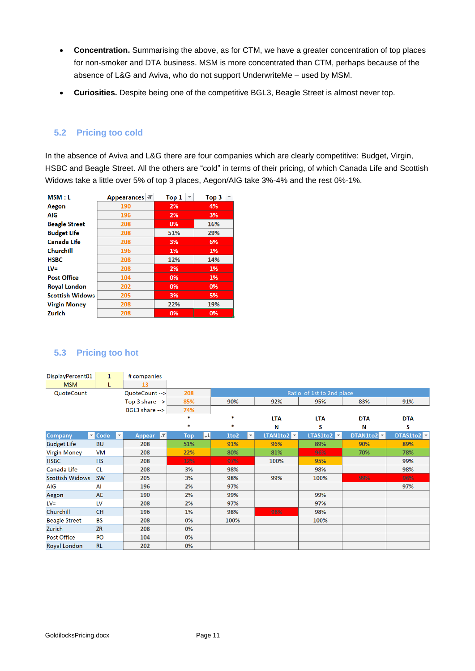- **Concentration.** Summarising the above, as for CTM, we have a greater concentration of top places for non-smoker and DTA business. MSM is more concentrated than CTM, perhaps because of the absence of L&G and Aviva, who do not support UnderwriteMe – used by MSM.
- **Curiosities.** Despite being one of the competitive BGL3, Beagle Street is almost never top.

### <span id="page-10-0"></span>**5.2 Pricing too cold**

In the absence of Aviva and L&G there are four companies which are clearly competitive: Budget, Virgin, HSBC and Beagle Street. All the others are "cold" in terms of their pricing, of which Canada Life and Scottish Widows take a little over 5% of top 3 places, Aegon/AIG take 3%-4% and the rest 0%-1%.

| MSM : L                | Appearances T | Top 1 | Top 3 |  |  |
|------------------------|---------------|-------|-------|--|--|
| Aegon                  | 190           | 2%    | 4%    |  |  |
| AIG                    | 196           | 2%    | 3%    |  |  |
| <b>Beagle Street</b>   | 208           | 0%    | 16%   |  |  |
| <b>Budget Life</b>     | 208           | 51%   | 29%   |  |  |
| <b>Canada Life</b>     | 208           | 3%    | 6%    |  |  |
| Churchill              | 196           | 1%    | 1%    |  |  |
| <b>HSBC</b>            | 208           | 12%   | 14%   |  |  |
| $LV =$                 | 208           | 2%    | 1%    |  |  |
| <b>Post Office</b>     | 104           | 0%    | 1%    |  |  |
| <b>Royal London</b>    | 202           | 0%    | 0%    |  |  |
| <b>Scottish Widows</b> | 205           | 3%    | 5%    |  |  |
| <b>Virgin Money</b>    | 208           | 22%   | 19%   |  |  |
| Zurich                 | 208           | 0%    | 0%    |  |  |

### <span id="page-10-1"></span>**5.3 Pricing too hot**

| DisplayPercent01       | $\mathbf{1}$                        | # companies                      |                            |                                 |                                      |                                         |            |            |  |
|------------------------|-------------------------------------|----------------------------------|----------------------------|---------------------------------|--------------------------------------|-----------------------------------------|------------|------------|--|
| <b>MSM</b>             | L                                   | 13                               |                            |                                 |                                      |                                         |            |            |  |
| QuoteCount             |                                     | QuoteCount -->                   | 208                        | Ratio of 1st to 2nd place       |                                      |                                         |            |            |  |
|                        |                                     | Top $3$ share $\rightarrow$      | 85%                        | 90%                             | 92%                                  | 95%                                     | 83%        | 91%        |  |
|                        |                                     | BGL3 share -->                   | 74%                        |                                 |                                      |                                         |            |            |  |
|                        |                                     |                                  | *                          | *                               | <b>LTA</b>                           | <b>LTA</b>                              | <b>DTA</b> | <b>DTA</b> |  |
|                        |                                     |                                  | *                          | *                               | Ν                                    | S                                       | Ν          | S          |  |
| Company                | $\blacksquare$ Code<br>$\mathbf{v}$ | $\vert x \vert$<br><b>Appear</b> | $\downarrow$<br><b>Top</b> | 1to2<br>$\overline{\mathbf{v}}$ | <b>LTAN1to2</b> $\boxed{\mathbf{z}}$ | <b>LTAS1to2</b> $\overline{\mathbf{v}}$ | DTAN1to2   | DTAS1to2   |  |
| <b>Budget Life</b>     | <b>BU</b>                           | 208                              | 51%                        | 91%                             | 96%                                  | 89%                                     | 90%        | 89%        |  |
| <b>Virgin Money</b>    | <b>VM</b>                           | 208                              | 22%                        | 80%                             | 81%                                  | 96%                                     | 70%        | 78%        |  |
| <b>HSBC</b>            | <b>HS</b>                           | 208                              | 12%                        | 97%                             | 100%                                 | 95%                                     |            | 99%        |  |
| Canada Life            | <b>CL</b>                           | 208                              | 3%                         | 98%                             |                                      | 98%                                     |            | 98%        |  |
| <b>Scottish Widows</b> | <b>SW</b>                           | 205                              | 3%                         | 98%                             | 99%                                  | 100%                                    | 99%        | 96%        |  |
| AIG                    | AI                                  | 196                              | 2%                         | 97%                             |                                      |                                         |            | 97%        |  |
| Aegon                  | <b>AE</b>                           | 190                              | 2%                         | 99%                             |                                      | 99%                                     |            |            |  |
| $LV =$                 | LV                                  | 208                              | 2%                         | 97%                             |                                      | 97%                                     |            |            |  |
| Churchill              | <b>CH</b>                           | 196                              | 1%                         | 98%                             | 98%                                  | 98%                                     |            |            |  |
| <b>Beagle Street</b>   | <b>BS</b>                           | 208                              | 0%                         | 100%                            |                                      | 100%                                    |            |            |  |
| Zurich                 | <b>ZR</b>                           | 208                              | 0%                         |                                 |                                      |                                         |            |            |  |
| <b>Post Office</b>     | PO                                  | 104                              | 0%                         |                                 |                                      |                                         |            |            |  |
| <b>Royal London</b>    | <b>RL</b>                           | 202                              | 0%                         |                                 |                                      |                                         |            |            |  |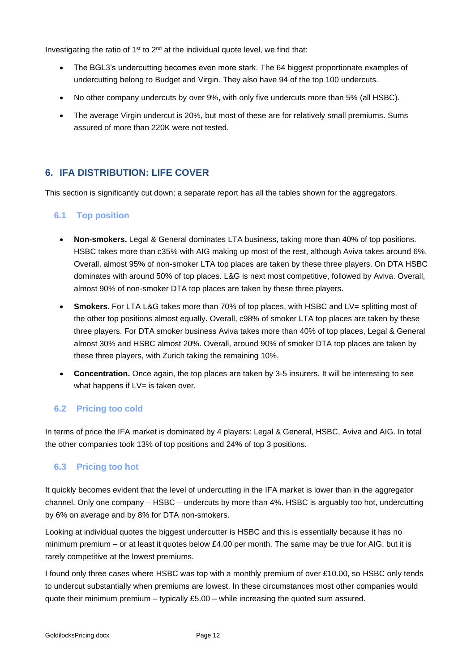Investigating the ratio of  $1<sup>st</sup>$  to  $2<sup>nd</sup>$  at the individual quote level, we find that:

- The BGL3's undercutting becomes even more stark. The 64 biggest proportionate examples of undercutting belong to Budget and Virgin. They also have 94 of the top 100 undercuts.
- No other company undercuts by over 9%, with only five undercuts more than 5% (all HSBC).
- The average Virgin undercut is 20%, but most of these are for relatively small premiums. Sums assured of more than 220K were not tested.

# <span id="page-11-0"></span>**6. IFA DISTRIBUTION: LIFE COVER**

<span id="page-11-1"></span>This section is significantly cut down; a separate report has all the tables shown for the aggregators.

### **6.1 Top position**

- **Non-smokers.** Legal & General dominates LTA business, taking more than 40% of top positions. HSBC takes more than c35% with AIG making up most of the rest, although Aviva takes around 6%. Overall, almost 95% of non-smoker LTA top places are taken by these three players. On DTA HSBC dominates with around 50% of top places. L&G is next most competitive, followed by Aviva. Overall, almost 90% of non-smoker DTA top places are taken by these three players.
- **Smokers.** For LTA L&G takes more than 70% of top places, with HSBC and LV= splitting most of the other top positions almost equally. Overall, c98% of smoker LTA top places are taken by these three players. For DTA smoker business Aviva takes more than 40% of top places, Legal & General almost 30% and HSBC almost 20%. Overall, around 90% of smoker DTA top places are taken by these three players, with Zurich taking the remaining 10%.
- **Concentration.** Once again, the top places are taken by 3-5 insurers. It will be interesting to see what happens if LV= is taken over.

### <span id="page-11-2"></span>**6.2 Pricing too cold**

In terms of price the IFA market is dominated by 4 players: Legal & General, HSBC, Aviva and AIG. In total the other companies took 13% of top positions and 24% of top 3 positions.

### <span id="page-11-3"></span>**6.3 Pricing too hot**

It quickly becomes evident that the level of undercutting in the IFA market is lower than in the aggregator channel. Only one company – HSBC – undercuts by more than 4%. HSBC is arguably too hot, undercutting by 6% on average and by 8% for DTA non-smokers.

Looking at individual quotes the biggest undercutter is HSBC and this is essentially because it has no minimum premium – or at least it quotes below £4.00 per month. The same may be true for AIG, but it is rarely competitive at the lowest premiums.

I found only three cases where HSBC was top with a monthly premium of over £10.00, so HSBC only tends to undercut substantially when premiums are lowest. In these circumstances most other companies would quote their minimum premium – typically  $£5.00 -$  while increasing the quoted sum assured.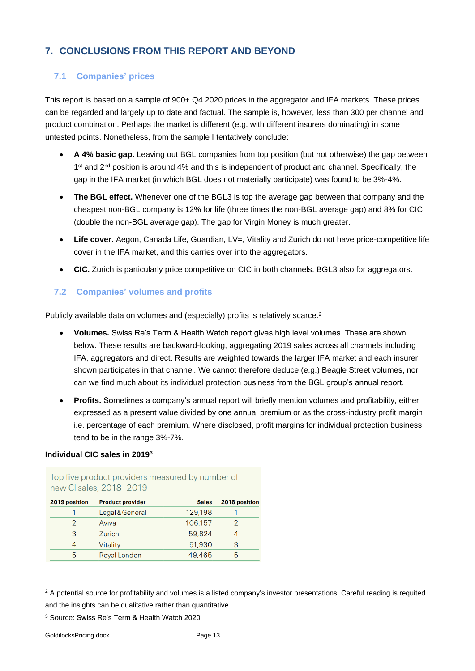# <span id="page-12-0"></span>**7. CONCLUSIONS FROM THIS REPORT AND BEYOND**

# <span id="page-12-1"></span>**7.1 Companies' prices**

This report is based on a sample of 900+ Q4 2020 prices in the aggregator and IFA markets. These prices can be regarded and largely up to date and factual. The sample is, however, less than 300 per channel and product combination. Perhaps the market is different (e.g. with different insurers dominating) in some untested points. Nonetheless, from the sample I tentatively conclude:

- **A 4% basic gap.** Leaving out BGL companies from top position (but not otherwise) the gap between 1<sup>st</sup> and 2<sup>nd</sup> position is around 4% and this is independent of product and channel. Specifically, the gap in the IFA market (in which BGL does not materially participate) was found to be 3%-4%.
- **The BGL effect.** Whenever one of the BGL3 is top the average gap between that company and the cheapest non-BGL company is 12% for life (three times the non-BGL average gap) and 8% for CIC (double the non-BGL average gap). The gap for Virgin Money is much greater.
- Life cover. Aegon, Canada Life, Guardian, LV=, Vitality and Zurich do not have price-competitive life cover in the IFA market, and this carries over into the aggregators.
- **CIC.** Zurich is particularly price competitive on CIC in both channels. BGL3 also for aggregators.

# <span id="page-12-2"></span>**7.2 Companies' volumes and profits**

Publicly available data on volumes and (especially) profits is relatively scarce.<sup>2</sup>

- **Volumes.** Swiss Re's Term & Health Watch report gives high level volumes. These are shown below. These results are backward-looking, aggregating 2019 sales across all channels including IFA, aggregators and direct. Results are weighted towards the larger IFA market and each insurer shown participates in that channel. We cannot therefore deduce (e.g.) Beagle Street volumes, nor can we find much about its individual protection business from the BGL group's annual report.
- **Profits.** Sometimes a company's annual report will briefly mention volumes and profitability, either expressed as a present value divided by one annual premium or as the cross-industry profit margin i.e. percentage of each premium. Where disclosed, profit margins for individual protection business tend to be in the range 3%-7%.

#### **Individual CIC sales in 2019<sup>3</sup>**

| 2019 position | <b>Product provider</b> | <b>Sales</b> | 2018 position |
|---------------|-------------------------|--------------|---------------|
|               | Legal & General         | 129,198      |               |
|               | Aviva                   | 106,157      |               |
| 3             | Zurich                  | 59,824       |               |
|               | Vitality                | 51,930       | 3             |
| 5             | Royal London            | 49.465       | 5             |
|               |                         |              |               |

Top five product providers measured by number of new CL sales 2018-2019

<sup>&</sup>lt;sup>2</sup> A potential source for profitability and volumes is a listed company's investor presentations. Careful reading is requited and the insights can be qualitative rather than quantitative.

<sup>3</sup> Source: Swiss Re's Term & Health Watch 2020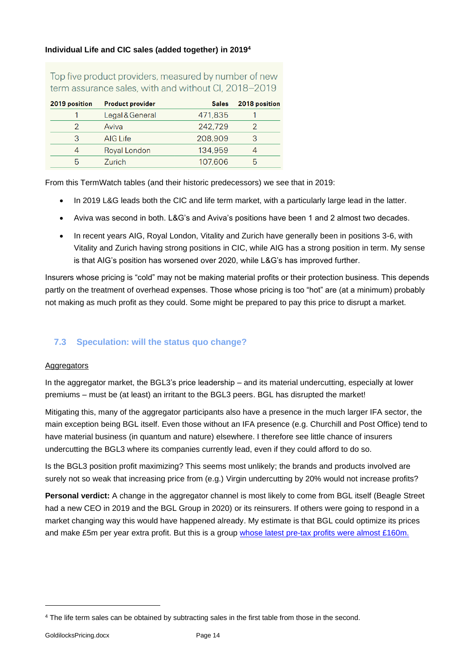#### **Individual Life and CIC sales (added together) in 2019<sup>4</sup>**

Top five product providers, measured by number of new term assurance sales, with and without CI, 2018-2019

| 2019 position | <b>Product provider</b> | <b>Sales</b> | 2018 position |
|---------------|-------------------------|--------------|---------------|
|               | Legal & General         | 471,835      |               |
|               | Aviva                   | 242,729      |               |
|               | AIG Life                | 208,909      |               |
|               | Royal London            | 134,959      |               |
|               | Zurich                  | 107,606      |               |

From this TermWatch tables (and their historic predecessors) we see that in 2019:

- In 2019 L&G leads both the CIC and life term market, with a particularly large lead in the latter.
- Aviva was second in both. L&G's and Aviva's positions have been 1 and 2 almost two decades.
- In recent years AIG, Royal London, Vitality and Zurich have generally been in positions 3-6, with Vitality and Zurich having strong positions in CIC, while AIG has a strong position in term. My sense is that AIG's position has worsened over 2020, while L&G's has improved further.

Insurers whose pricing is "cold" may not be making material profits or their protection business. This depends partly on the treatment of overhead expenses. Those whose pricing is too "hot" are (at a minimum) probably not making as much profit as they could. Some might be prepared to pay this price to disrupt a market.

## <span id="page-13-0"></span>**7.3 Speculation: will the status quo change?**

#### **Aggregators**

In the aggregator market, the BGL3's price leadership – and its material undercutting, especially at lower premiums – must be (at least) an irritant to the BGL3 peers. BGL has disrupted the market!

Mitigating this, many of the aggregator participants also have a presence in the much larger IFA sector, the main exception being BGL itself. Even those without an IFA presence (e.g. Churchill and Post Office) tend to have material business (in quantum and nature) elsewhere. I therefore see little chance of insurers undercutting the BGL3 where its companies currently lead, even if they could afford to do so.

Is the BGL3 position profit maximizing? This seems most unlikely; the brands and products involved are surely not so weak that increasing price from (e.g.) Virgin undercutting by 20% would not increase profits?

**Personal verdict:** A change in the aggregator channel is most likely to come from BGL itself (Beagle Street had a new CEO in 2019 and the BGL Group in 2020) or its reinsurers. If others were going to respond in a market changing way this would have happened already. My estimate is that BGL could optimize its prices and make £5m per year extra profit. But this is a group [whose latest pre-tax profits were almost £160m.](https://www.insidermedia.com/news/national/revenue-surge-for-compare-the-market-owner)

<sup>4</sup> The life term sales can be obtained by subtracting sales in the first table from those in the second.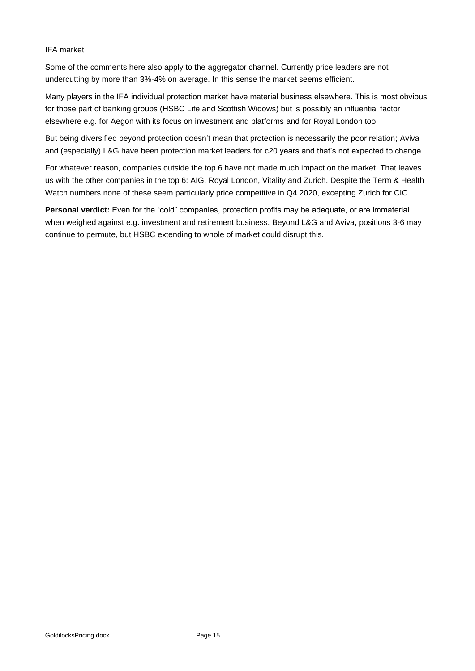#### IFA market

Some of the comments here also apply to the aggregator channel. Currently price leaders are not undercutting by more than 3%-4% on average. In this sense the market seems efficient.

Many players in the IFA individual protection market have material business elsewhere. This is most obvious for those part of banking groups (HSBC Life and Scottish Widows) but is possibly an influential factor elsewhere e.g. for Aegon with its focus on investment and platforms and for Royal London too.

But being diversified beyond protection doesn't mean that protection is necessarily the poor relation; Aviva and (especially) L&G have been protection market leaders for c20 years and that's not expected to change.

For whatever reason, companies outside the top 6 have not made much impact on the market. That leaves us with the other companies in the top 6: AIG, Royal London, Vitality and Zurich. Despite the Term & Health Watch numbers none of these seem particularly price competitive in Q4 2020, excepting Zurich for CIC.

**Personal verdict:** Even for the "cold" companies, protection profits may be adequate, or are immaterial when weighed against e.g. investment and retirement business. Beyond L&G and Aviva, positions 3-6 may continue to permute, but HSBC extending to whole of market could disrupt this.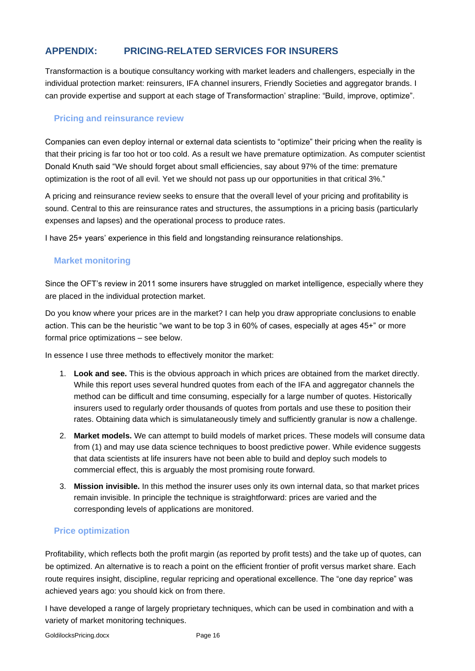# <span id="page-15-0"></span>**APPENDIX: PRICING-RELATED SERVICES FOR INSURERS**

Transformaction is a boutique consultancy working with market leaders and challengers, especially in the individual protection market: reinsurers, IFA channel insurers, Friendly Societies and aggregator brands. I can provide expertise and support at each stage of Transformaction' strapline: "Build, improve, optimize".

## <span id="page-15-1"></span>**Pricing and reinsurance review**

Companies can even deploy internal or external data scientists to "optimize" their pricing when the reality is that their pricing is far too hot or too cold. As a result we have premature optimization. As computer scientist Donald Knuth said "We should forget about small efficiencies, say about 97% of the time: premature optimization is the root of all evil. Yet we should not pass up our opportunities in that critical 3%."

A pricing and reinsurance review seeks to ensure that the overall level of your pricing and profitability is sound. Central to this are reinsurance rates and structures, the assumptions in a pricing basis (particularly expenses and lapses) and the operational process to produce rates.

<span id="page-15-2"></span>I have 25+ years' experience in this field and longstanding reinsurance relationships.

### **Market monitoring**

Since the OFT's review in 2011 some insurers have struggled on market intelligence, especially where they are placed in the individual protection market.

Do you know where your prices are in the market? I can help you draw appropriate conclusions to enable action. This can be the heuristic "we want to be top 3 in 60% of cases, especially at ages 45+" or more formal price optimizations – see below.

In essence I use three methods to effectively monitor the market:

- 1. **Look and see.** This is the obvious approach in which prices are obtained from the market directly. While this report uses several hundred quotes from each of the IFA and aggregator channels the method can be difficult and time consuming, especially for a large number of quotes. Historically insurers used to regularly order thousands of quotes from portals and use these to position their rates. Obtaining data which is simulataneously timely and sufficiently granular is now a challenge.
- 2. **Market models.** We can attempt to build models of market prices. These models will consume data from (1) and may use data science techniques to boost predictive power. While evidence suggests that data scientists at life insurers have not been able to build and deploy such models to commercial effect, this is arguably the most promising route forward.
- 3. **Mission invisible.** In this method the insurer uses only its own internal data, so that market prices remain invisible. In principle the technique is straightforward: prices are varied and the corresponding levels of applications are monitored.

## <span id="page-15-3"></span>**Price optimization**

Profitability, which reflects both the profit margin (as reported by profit tests) and the take up of quotes, can be optimized. An alternative is to reach a point on the efficient frontier of profit versus market share. Each route requires insight, discipline, regular repricing and operational excellence. The "one day reprice" was achieved years ago: you should kick on from there.

I have developed a range of largely proprietary techniques, which can be used in combination and with a variety of market monitoring techniques.